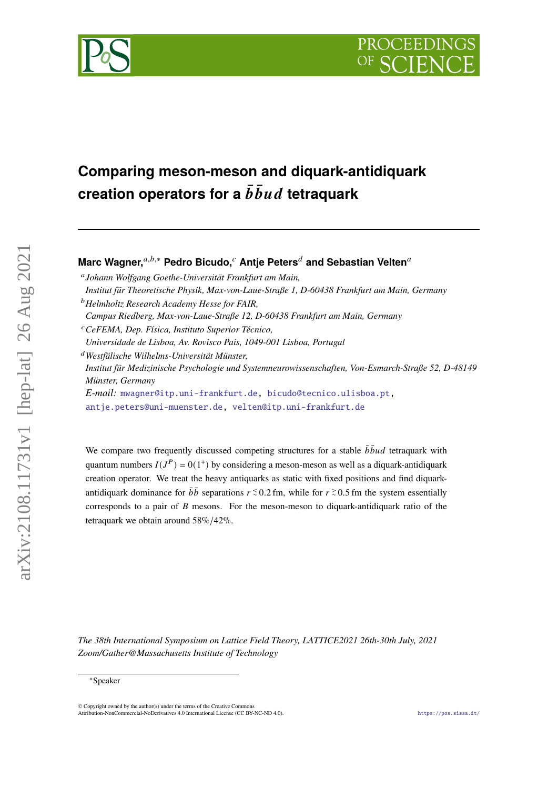# PROCEEDI



# **Comparing meson-meson and diquark-antidiquark creation operators for a**  $\bar{b} \bar{b} u d$  **tetraquark**

# **Marc Wagner,** $a,b,*$  **Pedro Bicudo,**  $c$  Antie Peters<sup>*d*</sup> and Sebastian Velten<sup>*a*</sup>

*Institut für Medizinische Psychologie und Systemneurowissenschaften, Von-Esmarch-Straße 52, D-48149 Münster, Germany*

*E-mail:* [mwagner@itp.uni-frankfurt.de,](mailto:mwagner@itp.uni-frankfurt.de) [bicudo@tecnico.ulisboa.pt,](mailto:bicudo@tecnico.ulisboa.pt) [antje.peters@uni-muenster.de,](mailto:antje.peters@uni-muenster.de) [velten@itp.uni-frankfurt.de](mailto:velten@itp.uni-frankfurt.de)

We compare two frequently discussed competing structures for a stable  $\bar{b} \bar{b} u d$  tetraquark with quantum numbers  $I(J^P) = 0(1^+)$  by considering a meson-meson as well as a diquark-antidiquark creation operator. We treat the heavy antiquarks as static with fixed positions and find diquarkantidiquark dominance for  $\bar{b}\bar{b}$  separations  $r \approx 0.2$  fm, while for  $r \approx 0.5$  fm the system essentially corresponds to a pair of  $\hat{B}$  mesons. For the meson-meson to diquark-antidiquark ratio of the tetraquark we obtain around 58%/42%.

*The 38th International Symposium on Lattice Field Theory, LATTICE2021 26th-30th July, 2021 Zoom/Gather@Massachusetts Institute of Technology*

 $arXiv:2108.11731v1$  [hep-lat] 26 Aug 2021

*Johann Wolfgang Goethe-Universität Frankfurt am Main, Institut für Theoretische Physik, Max-von-Laue-Straße 1, D-60438 Frankfurt am Main, Germany*

*Helmholtz Research Academy Hesse for FAIR,*

*Campus Riedberg, Max-von-Laue-Straße 12, D-60438 Frankfurt am Main, Germany*

*CeFEMA, Dep. Física, Instituto Superior Técnico,*

*Universidade de Lisboa, Av. Rovisco Pais, 1049-001 Lisboa, Portugal*

*Westfälische Wilhelms-Universität Münster,*

<sup>∗</sup>Speaker

 $\odot$  Copyright owned by the author(s) under the terms of the Creative Common Attribution-NonCommercial-NoDerivatives 4.0 International License (CC BY-NC-ND 4.0). <https://pos.sissa.it/>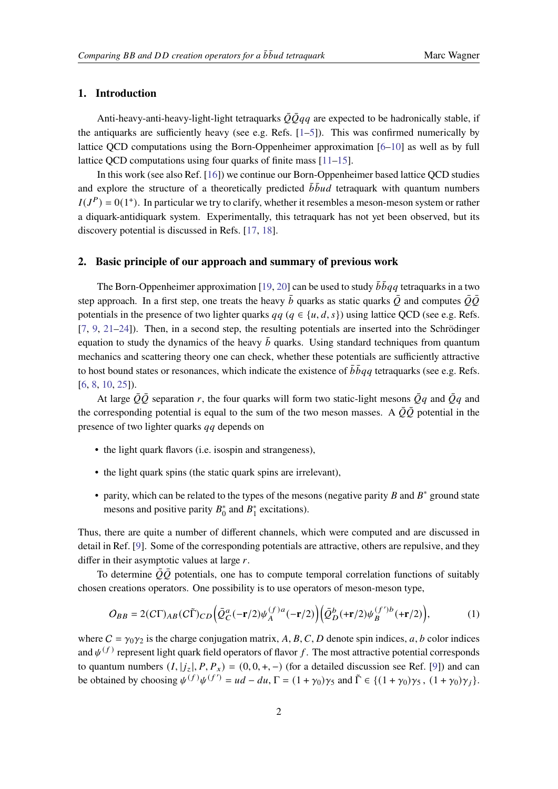# **1. Introduction**

Anti-heavy-anti-heavy-light-light tetraquarks  $\overline{Q} \overline{Q} q q$  are expected to be hadronically stable, if the antiquarks are sufficiently heavy (see e.g. Refs. [\[1](#page-5-0)[–5\]](#page-5-1)). This was confirmed numerically by lattice QCD computations using the Born-Oppenheimer approximation [\[6](#page-5-2)[–10\]](#page-5-3) as well as by full lattice OCD computations using four quarks of finite mass [\[11–](#page-5-4)[15\]](#page-6-0).

In this work (see also Ref. [\[16\]](#page-6-1)) we continue our Born-Oppenheimer based lattice QCD studies and explore the structure of a theoretically predicted  $\bar{b} \bar{b} u d$  tetraquark with quantum numbers  $I(J<sup>P</sup>) = 0(1<sup>+</sup>)$ . In particular we try to clarify, whether it resembles a meson-meson system or rather a diquark-antidiquark system. Experimentally, this tetraquark has not yet been observed, but its discovery potential is discussed in Refs. [\[17,](#page-6-2) [18\]](#page-6-3).

#### <span id="page-1-1"></span>**2. Basic principle of our approach and summary of previous work**

The Born-Oppenheimer approximation [\[19,](#page-6-4) [20\]](#page-6-5) can be used to study  $\bar{b} \bar{b} q q$  tetraquarks in a two step approach. In a first step, one treats the heavy  $\bar{b}$  quarks as static quarks  $\bar{Q}$  and computes  $\bar{Q}\bar{Q}$ potentials in the presence of two lighter quarks  $qq ( q \in \{u, d, s\})$  using lattice QCD (see e.g. Refs. [\[7,](#page-5-5) [9,](#page-5-6) [21](#page-6-6)[–24\]](#page-6-7)). Then, in a second step, the resulting potentials are inserted into the Schrödinger equation to study the dynamics of the heavy  $\bar{b}$  quarks. Using standard techniques from quantum mechanics and scattering theory one can check, whether these potentials are sufficiently attractive to host bound states or resonances, which indicate the existence of  $\bar{b} \bar{b} q q$  tetraquarks (see e.g. Refs. [\[6,](#page-5-2) [8,](#page-5-7) [10,](#page-5-3) [25\]](#page-6-8)).

At large  $\overline{Q}\overline{Q}$  separation r, the four quarks will form two static-light mesons  $\overline{Q}q$  and  $\overline{Q}q$  and the corresponding potential is equal to the sum of the two meson masses. A  $\bar{Q}\bar{Q}$  potential in the presence of two lighter quarks  $qq$  depends on

- the light quark flavors (i.e. isospin and strangeness),
- the light quark spins (the static quark spins are irrelevant),
- parity, which can be related to the types of the mesons (negative parity  $B$  and  $B^*$  ground state mesons and positive parity  $B_0^*$  $_{0}^{*}$  and  $B_{1}^{*}$  $i<sub>1</sub><sup>*</sup>$  excitations).

Thus, there are quite a number of different channels, which were computed and are discussed in detail in Ref. [\[9\]](#page-5-6). Some of the corresponding potentials are attractive, others are repulsive, and they differ in their asymptotic values at large  $r$ .

To determine  $\overline{Q}\overline{Q}$  potentials, one has to compute temporal correlation functions of suitably chosen creations operators. One possibility is to use operators of meson-meson type,

<span id="page-1-0"></span>
$$
O_{BB} = 2(C\Gamma)_{AB}(C\tilde{\Gamma})_{CD} \Big(\bar{Q}_C^a(-\mathbf{r}/2)\psi_A^{(f)a}(-\mathbf{r}/2)\Big) \Big(\bar{Q}_D^b(\mathbf{+r}/2)\psi_B^{(f')b}(\mathbf{+r}/2)\Big),\tag{1}
$$

where  $C = \gamma_0 \gamma_2$  is the charge conjugation matrix, A, B, C, D denote spin indices, a, b color indices and  $\psi^{(f)}$  represent light quark field operators of flavor f. The most attractive potential corresponds to quantum numbers  $(I, |j_z|, P, P_x) = (0, 0, +, -)$  (for a detailed discussion see Ref. [\[9\]](#page-5-6)) and can be obtained by choosing  $\psi^{(f)}\psi^{(f')} = ud - du$ ,  $\Gamma = (1 + \gamma_0)\gamma_5$  and  $\tilde{\Gamma} \in \{(1 + \gamma_0)\gamma_5, (1 + \gamma_0)\gamma_j\}$ .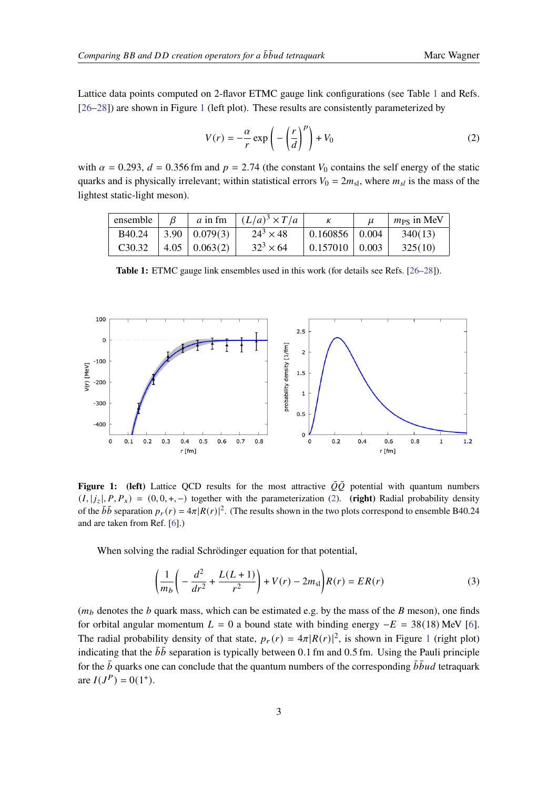Lattice data points computed on 2-flavor ETMC gauge link configurations (see Table [1](#page-2-0) and Refs. [\[26](#page-6-9)[–28\]](#page-7-0)) are shown in Figure [1](#page-2-1) (left plot). These results are consistently parameterized by

<span id="page-2-2"></span>
$$
V(r) = -\frac{\alpha}{r} \exp\left(-\left(\frac{r}{d}\right)^p\right) + V_0
$$
\n(2)

with  $\alpha = 0.293$ ,  $d = 0.356$  fm and  $p = 2.74$  (the constant  $V_0$  contains the self energy of the static quarks and is physically irrelevant; within statistical errors  $V_0 = 2m_{sl}$ , where  $m_{sl}$  is the mass of the lightest static-light meson).

<span id="page-2-0"></span>

| ensemble            |                             | a in fm $(L/a)^3 \times T/a$ |                              | $m_{PS}$ in MeV |
|---------------------|-----------------------------|------------------------------|------------------------------|-----------------|
| <b>B</b> 40.24      | $\vert 3.90 \vert 0.079(3)$ | $24^3 \times 48$             | $\vert 0.160856 \vert 0.004$ | 340(13)         |
| C <sub>3</sub> 0.32 | 4.05 0.063(2)               | $32^3 \times 64$             | $0.157010$   0.003           | 325(10)         |

**Table 1:** ETMC gauge link ensembles used in this work (for details see Refs. [\[26](#page-6-9)[–28\]](#page-7-0)).

<span id="page-2-1"></span>

**Figure 1:** (left) Lattice QCD results for the most attractive  $\overline{Q}\overline{Q}$  potential with quantum numbers  $(I, |j_z|, P, P_x) = (0, 0, +, -)$  together with the parameterization [\(2\)](#page-2-2). (right) Radial probability density of the  $b\bar{b}$  separation  $p_r(r) = 4\pi |R(r)|^2$ . (The results shown in the two plots correspond to ensemble B40.24 and are taken from Ref. [\[6\]](#page-5-2).)

When solving the radial Schrödinger equation for that potential,

$$
\left(\frac{1}{m_b}\left(-\frac{d^2}{dr^2} + \frac{L(L+1)}{r^2}\right) + V(r) - 2m_{\rm sl}\right)R(r) = ER(r)
$$
\n(3)

 $(m_b$  denotes the *b* quark mass, which can be estimated e.g. by the mass of the *B* meson), one finds for orbital angular momentum  $L = 0$  a bound state with binding energy  $-E = 38(18)$  MeV [\[6\]](#page-5-2). The radial probability density of that state,  $p_r(r) = 4\pi |R(r)|^2$ , is shown in Figure [1](#page-2-1) (right plot) indicating that the  $\bar{b}\bar{b}$  separation is typically between 0.1 fm and 0.5 fm. Using the Pauli principle for the  $\bar{b}$  quarks one can conclude that the quantum numbers of the corresponding  $\bar{b} \bar{b} u d$  tetraquark are  $I(J^P) = 0(1^+).$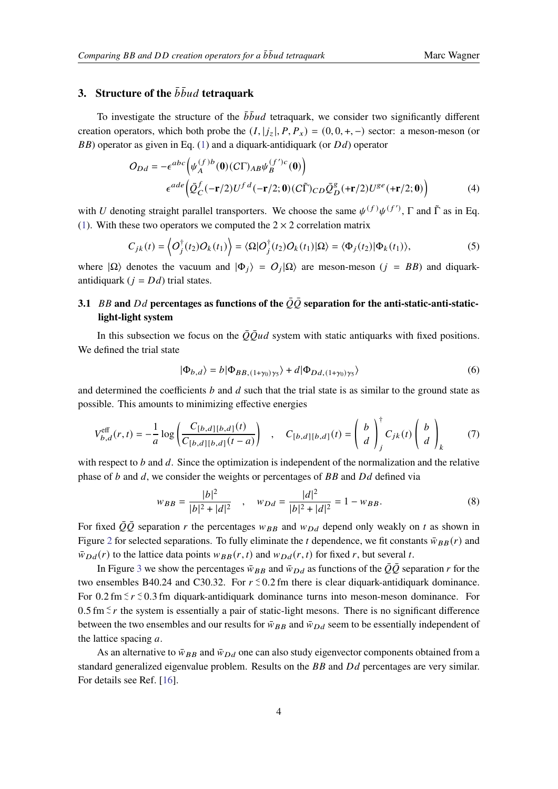# **3.** Structure of the  $\bar{b} \bar{b} u d$  tetraquark

To investigate the structure of the  $\bar{b} \bar{b} u d$  tetraquark, we consider two significantly different creation operators, which both probe the  $(I, |j_z|, P, P_x) = (0, 0, +, -)$  sector: a meson-meson (or  $BB$ ) operator as given in Eq. [\(1\)](#page-1-0) and a diquark-antidiquark (or  $Dd$ ) operator

$$
O_{Dd} = -\epsilon^{abc} \Big( \psi_A^{(f)b}(\mathbf{0})(C\Gamma)_{AB} \psi_B^{(f')c}(\mathbf{0}) \Big)
$$

$$
\epsilon^{ade} \Big( \bar{Q}_C^f(-\mathbf{r}/2)U^{fd}(-\mathbf{r}/2;\mathbf{0})(C\tilde{\Gamma})_{CD}\bar{Q}_D^g(\mathbf{+r}/2)U^{ge}(\mathbf{+r}/2;\mathbf{0}) \Big)
$$
(4)

with U denoting straight parallel transporters. We choose the same  $\psi^{(f)}\psi^{(f')}$ ,  $\Gamma$  and  $\tilde{\Gamma}$  as in Eq. [\(1\)](#page-1-0). With these two operators we computed the  $2 \times 2$  correlation matrix

$$
C_{jk}(t) = \left\langle O_j^{\dagger}(t_2)O_k(t_1) \right\rangle = \left\langle \Omega | O_j^{\dagger}(t_2)O_k(t_1) | \Omega \right\rangle = \left\langle \Phi_j(t_2) | \Phi_k(t_1) \right\rangle, \tag{5}
$$

where  $|\Omega\rangle$  denotes the vacuum and  $|\Phi_j\rangle = O_j |\Omega\rangle$  are meson-meson  $(j = BB)$  and diquarkantidiquark ( $j = Dd$ ) trial states.

# **3.1** BB and Dd percentages as functions of the  $\overline{Q}\overline{Q}$  separation for the anti-static-anti-static**light-light system**

In this subsection we focus on the  $\overline{Q}\overline{Q}ud$  system with static antiquarks with fixed positions. We defined the trial state

$$
|\Phi_{b,d}\rangle = b|\Phi_{BB,(1+\gamma_0)\gamma_5}\rangle + d|\Phi_{Dd,(1+\gamma_0)\gamma_5}\rangle
$$
\n(6)

and determined the coefficients  $b$  and  $d$  such that the trial state is as similar to the ground state as possible. This amounts to minimizing effective energies

$$
V_{b,d}^{\text{eff}}(r,t) = -\frac{1}{a} \log \left( \frac{C_{[b,d][b,d]}(t)}{C_{[b,d][b,d]}(t-a)} \right) , \quad C_{[b,d][b,d]}(t) = \left( \begin{array}{c} b \\ d \end{array} \right)_{j}^{+} C_{jk}(t) \left( \begin{array}{c} b \\ d \end{array} \right)_{k} \tag{7}
$$

with respect to  $b$  and  $d$ . Since the optimization is independent of the normalization and the relative phase of  $b$  and  $d$ , we consider the weights or percentages of  $BB$  and  $Dd$  defined via

$$
w_{BB} = \frac{|b|^2}{|b|^2 + |d|^2} \quad , \quad w_{Dd} = \frac{|d|^2}{|b|^2 + |d|^2} = 1 - w_{BB}.
$$
 (8)

For fixed  $\overline{Q}\overline{Q}$  separation r the percentages  $w_{BB}$  and  $w_{Dd}$  depend only weakly on t as shown in Figure [2](#page-4-0) for selected separations. To fully eliminate the *t* dependence, we fit constants  $\bar{w}_{BB}(r)$  and  $\bar{w}_{Dd}(r)$  to the lattice data points  $w_{BB}(r, t)$  and  $w_{Dd}(r, t)$  for fixed r, but several t.

In Figure [3](#page-4-1) we show the percentages  $\bar{w}_{BB}$  and  $\bar{w}_{DA}$  as functions of the  $\bar{Q}\bar{Q}$  separation r for the two ensembles B40.24 and C30.32. For  $r \le 0.2$  fm there is clear diquark-antidiquark dominance. For 0.2 fm  $\leq r \leq 0.3$  fm diquark-antidiquark dominance turns into meson-meson dominance. For 0.5 fm  $≤$  r the system is essentially a pair of static-light mesons. There is no significant difference between the two ensembles and our results for  $\bar{w}_{BB}$  and  $\bar{w}_{Dd}$  seem to be essentially independent of the lattice spacing  $a$ .

As an alternative to  $\bar{w}_{BB}$  and  $\bar{w}_{Dd}$  one can also study eigenvector components obtained from a standard generalized eigenvalue problem. Results on the  $BB$  and  $Dd$  percentages are very similar. For details see Ref. [\[16\]](#page-6-1).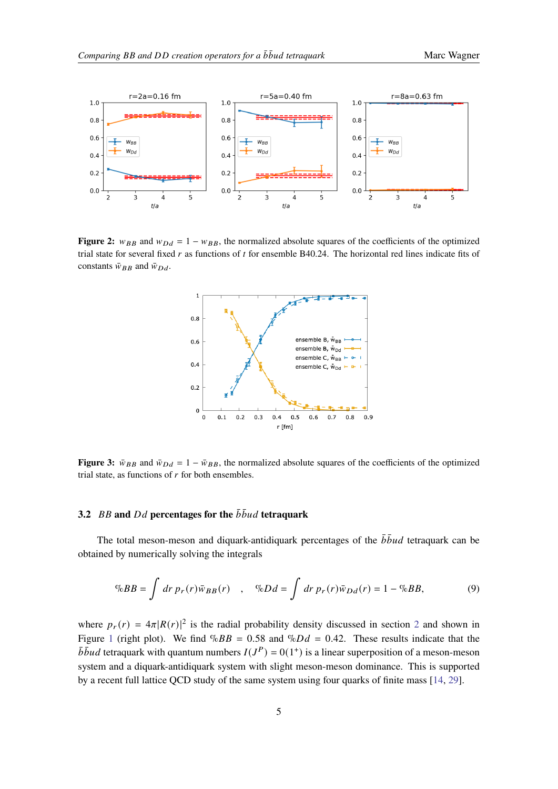<span id="page-4-0"></span>

<span id="page-4-1"></span>**Figure 2:**  $w_{BB}$  and  $w_{DA} = 1 - w_{BB}$ , the normalized absolute squares of the coefficients of the optimized trial state for several fixed  $r$  as functions of  $t$  for ensemble B40.24. The horizontal red lines indicate fits of constants  $\bar{w}_{BB}$  and  $\bar{w}_{Dd}$ .



**Figure 3:**  $\bar{w}_{BB}$  and  $\bar{w}_{Dd} = 1 - \bar{w}_{BB}$ , the normalized absolute squares of the coefficients of the optimized trial state, as functions of  $r$  for both ensembles.

## **3.2**  $BB$  and  $Dd$  percentages for the  $\bar{b} \bar{b} u d$  tetraquark

The total meson-meson and diquark-antidiquark percentages of the  $\bar{b} \bar{b} u d$  tetraquark can be obtained by numerically solving the integrals

$$
\%BB = \int dr \, p_r(r)\bar{w}_{BB}(r) \quad , \quad \%Dd = \int dr \, p_r(r)\bar{w}_{Dd}(r) = 1 - \%BB, \tag{9}
$$

where  $p_r(r) = 4\pi |R(r)|^2$  $p_r(r) = 4\pi |R(r)|^2$  is the radial probability density discussed in section 2 and shown in Figure [1](#page-2-1) (right plot). We find  $\%BB = 0.58$  and  $\%Dd = 0.42$ . These results indicate that the  $\overline{b} \overline{b} u d$  tetraquark with quantum numbers  $I(J^P) = 0(1^+)$  is a linear superposition of a meson-meson system and a diquark-antidiquark system with slight meson-meson dominance. This is supported by a recent full lattice QCD study of the same system using four quarks of finite mass [\[14,](#page-6-10) [29\]](#page-7-1).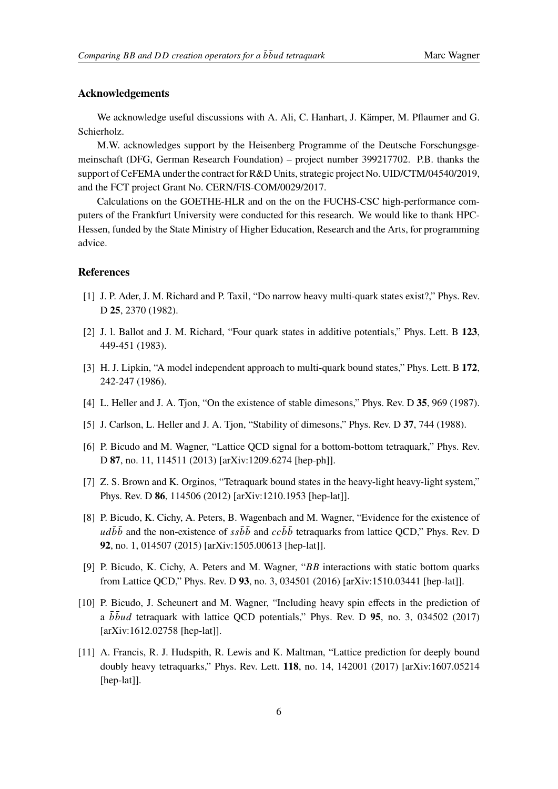#### **Acknowledgements**

We acknowledge useful discussions with A. Ali, C. Hanhart, J. Kämper, M. Pflaumer and G. Schierholz.

M.W. acknowledges support by the Heisenberg Programme of the Deutsche Forschungsgemeinschaft (DFG, German Research Foundation) – project number 399217702. P.B. thanks the support of CeFEMA under the contract for R&D Units, strategic project No. UID/CTM/04540/2019, and the FCT project Grant No. CERN/FIS-COM/0029/2017.

Calculations on the GOETHE-HLR and on the on the FUCHS-CSC high-performance computers of the Frankfurt University were conducted for this research. We would like to thank HPC-Hessen, funded by the State Ministry of Higher Education, Research and the Arts, for programming advice.

### **References**

- <span id="page-5-0"></span>[1] J. P. Ader, J. M. Richard and P. Taxil, "Do narrow heavy multi-quark states exist?," Phys. Rev. D **25**, 2370 (1982).
- [2] J. l. Ballot and J. M. Richard, "Four quark states in additive potentials," Phys. Lett. B **123**, 449-451 (1983).
- [3] H. J. Lipkin, "A model independent approach to multi-quark bound states," Phys. Lett. B **172**, 242-247 (1986).
- [4] L. Heller and J. A. Tjon, "On the existence of stable dimesons," Phys. Rev. D **35**, 969 (1987).
- <span id="page-5-1"></span>[5] J. Carlson, L. Heller and J. A. Tjon, "Stability of dimesons," Phys. Rev. D **37**, 744 (1988).
- <span id="page-5-2"></span>[6] P. Bicudo and M. Wagner, "Lattice QCD signal for a bottom-bottom tetraquark," Phys. Rev. D **87**, no. 11, 114511 (2013) [arXiv:1209.6274 [hep-ph]].
- <span id="page-5-5"></span>[7] Z. S. Brown and K. Orginos, "Tetraquark bound states in the heavy-light heavy-light system," Phys. Rev. D **86**, 114506 (2012) [arXiv:1210.1953 [hep-lat]].
- <span id="page-5-7"></span>[8] P. Bicudo, K. Cichy, A. Peters, B. Wagenbach and M. Wagner, "Evidence for the existence of ud $b\bar{b}$  and the non-existence of  $s s\bar{b} \bar{b}$  and  $c c\bar{b} \bar{b}$  tetraquarks from lattice QCD," Phys. Rev. D **92**, no. 1, 014507 (2015) [arXiv:1505.00613 [hep-lat]].
- <span id="page-5-6"></span>[9] P. Bicudo, K. Cichy, A. Peters and M. Wagner, " $BB$  interactions with static bottom quarks from Lattice QCD," Phys. Rev. D **93**, no. 3, 034501 (2016) [arXiv:1510.03441 [hep-lat]].
- <span id="page-5-3"></span>[10] P. Bicudo, J. Scheunert and M. Wagner, "Including heavy spin effects in the prediction of a  $b\bar{b}\bar{u}d$  tetraquark with lattice QCD potentials," Phys. Rev. D **95**, no. 3, 034502 (2017) [arXiv:1612.02758 [hep-lat]].
- <span id="page-5-4"></span>[11] A. Francis, R. J. Hudspith, R. Lewis and K. Maltman, "Lattice prediction for deeply bound doubly heavy tetraquarks," Phys. Rev. Lett. **118**, no. 14, 142001 (2017) [arXiv:1607.05214 [hep-lat]].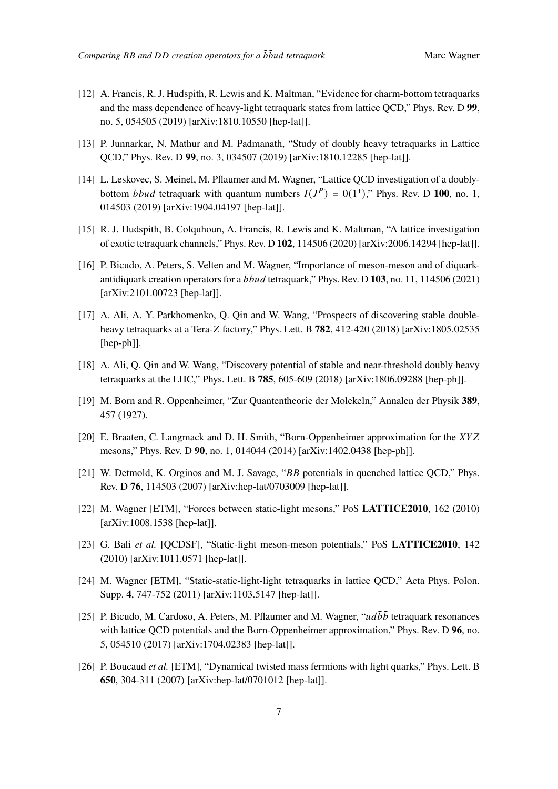- [12] A. Francis, R. J. Hudspith, R. Lewis and K. Maltman, "Evidence for charm-bottom tetraquarks and the mass dependence of heavy-light tetraquark states from lattice QCD," Phys. Rev. D **99**, no. 5, 054505 (2019) [arXiv:1810.10550 [hep-lat]].
- [13] P. Junnarkar, N. Mathur and M. Padmanath, "Study of doubly heavy tetraquarks in Lattice QCD," Phys. Rev. D **99**, no. 3, 034507 (2019) [arXiv:1810.12285 [hep-lat]].
- <span id="page-6-10"></span>[14] L. Leskovec, S. Meinel, M. Pflaumer and M. Wagner, "Lattice QCD investigation of a doublybottom  $\bar{b} \bar{b} u d$  tetraquark with quantum numbers  $I(J^P) = 0(1^+),$ " Phys. Rev. D 100, no. 1, 014503 (2019) [arXiv:1904.04197 [hep-lat]].
- <span id="page-6-0"></span>[15] R. J. Hudspith, B. Colquhoun, A. Francis, R. Lewis and K. Maltman, "A lattice investigation of exotic tetraquark channels," Phys. Rev. D **102**, 114506 (2020) [arXiv:2006.14294 [hep-lat]].
- <span id="page-6-1"></span>[16] P. Bicudo, A. Peters, S. Velten and M. Wagner, "Importance of meson-meson and of diquarkantidiquark creation operators for a  $\bar{b} \bar{b} u d$  tetraquark," Phys. Rev. D 103, no. 11, 114506 (2021) [arXiv:2101.00723 [hep-lat]].
- <span id="page-6-2"></span>[17] A. Ali, A. Y. Parkhomenko, Q. Qin and W. Wang, "Prospects of discovering stable doubleheavy tetraquarks at a Tera-Z factory," Phys. Lett. B  $782$ ,  $412-420$  (2018) [arXiv:1805.02535 [hep-ph]].
- <span id="page-6-3"></span>[18] A. Ali, Q. Qin and W. Wang, "Discovery potential of stable and near-threshold doubly heavy tetraquarks at the LHC," Phys. Lett. B **785**, 605-609 (2018) [arXiv:1806.09288 [hep-ph]].
- <span id="page-6-4"></span>[19] M. Born and R. Oppenheimer, "Zur Quantentheorie der Molekeln," Annalen der Physik **389**, 457 (1927).
- <span id="page-6-5"></span>[20] E. Braaten, C. Langmack and D. H. Smith, "Born-Oppenheimer approximation for the XYZ mesons," Phys. Rev. D **90**, no. 1, 014044 (2014) [arXiv:1402.0438 [hep-ph]].
- <span id="page-6-6"></span>[21] W. Detmold, K. Orginos and M. J. Savage, " $BB$  potentials in quenched lattice QCD," Phys. Rev. D **76**, 114503 (2007) [arXiv:hep-lat/0703009 [hep-lat]].
- [22] M. Wagner [ETM], "Forces between static-light mesons," PoS **LATTICE2010**, 162 (2010) [arXiv:1008.1538 [hep-lat]].
- [23] G. Bali *et al.* [QCDSF], "Static-light meson-meson potentials," PoS **LATTICE2010**, 142 (2010) [arXiv:1011.0571 [hep-lat]].
- <span id="page-6-7"></span>[24] M. Wagner [ETM], "Static-static-light-light tetraquarks in lattice QCD," Acta Phys. Polon. Supp. **4**, 747-752 (2011) [arXiv:1103.5147 [hep-lat]].
- <span id="page-6-8"></span>[25] P. Bicudo, M. Cardoso, A. Peters, M. Pflaumer and M. Wagner, " $ud\bar{b}\bar{b}$  tetraquark resonances with lattice QCD potentials and the Born-Oppenheimer approximation," Phys. Rev. D **96**, no. 5, 054510 (2017) [arXiv:1704.02383 [hep-lat]].
- <span id="page-6-9"></span>[26] P. Boucaud *et al.* [ETM], "Dynamical twisted mass fermions with light quarks," Phys. Lett. B **650**, 304-311 (2007) [arXiv:hep-lat/0701012 [hep-lat]].